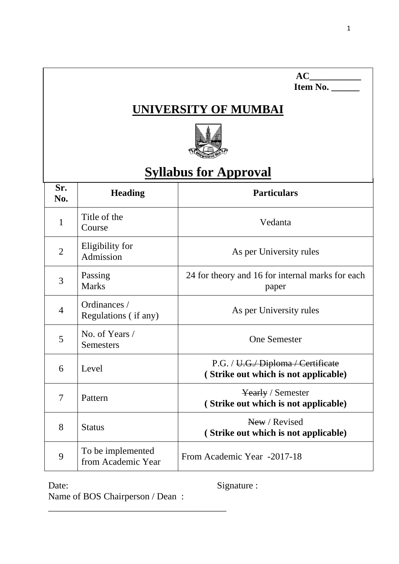| AC<br>Item No.<br>UNIVERSITY OF MUMBAI |                                         |                                                                           |  |  |  |
|----------------------------------------|-----------------------------------------|---------------------------------------------------------------------------|--|--|--|
| <b>Syllabus for Approval</b>           |                                         |                                                                           |  |  |  |
| Sr.<br>No.                             | <b>Heading</b>                          | <b>Particulars</b>                                                        |  |  |  |
| 1                                      | Title of the<br>Course                  | Vedanta                                                                   |  |  |  |
| $\overline{2}$                         | Eligibility for<br>Admission            | As per University rules                                                   |  |  |  |
| 3                                      | Passing<br><b>Marks</b>                 | 24 for theory and 16 for internal marks for each<br>paper                 |  |  |  |
| $\overline{4}$                         | Ordinances /<br>Regulations (if any)    | As per University rules                                                   |  |  |  |
| 5                                      | No. of Years /<br><b>Semesters</b>      | <b>One Semester</b>                                                       |  |  |  |
| 6                                      | Level                                   | P.G. / U.G. Diploma / Certificate<br>(Strike out which is not applicable) |  |  |  |
| 7                                      | Pattern                                 | Yearly / Semester<br>(Strike out which is not applicable)                 |  |  |  |
| 8                                      | <b>Status</b>                           | New / Revised<br>(Strike out which is not applicable)                     |  |  |  |
| 9                                      | To be implemented<br>from Academic Year | From Academic Year -2017-18                                               |  |  |  |

Date: Signature :

Name of BOS Chairperson / Dean :

\_\_\_\_\_\_\_\_\_\_\_\_\_\_\_\_\_\_\_\_\_\_\_\_\_\_\_\_\_\_\_\_\_\_\_\_\_\_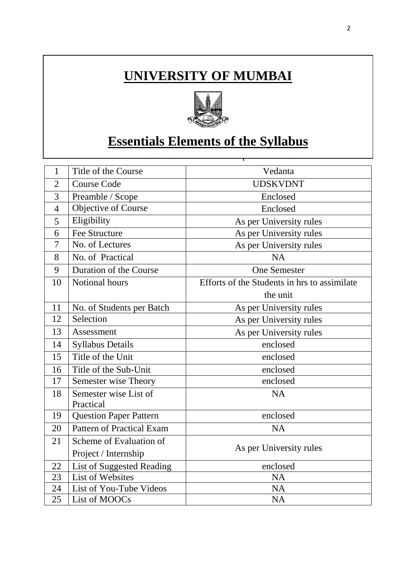# **UNIVERSITY OF MUMBAI**



# **<u>Essentials Elements of the Syllabus</u>**

This course is one of the electives offered for M.A. part II Sem 3. Course

| 1              | Title of the Course              | Vedanta                                      |  |
|----------------|----------------------------------|----------------------------------------------|--|
| $\overline{2}$ | <b>Course Code</b>               | <b>UDSKVDNT</b>                              |  |
| 3              | Preamble / Scope                 | Enclosed                                     |  |
| $\overline{4}$ | Objective of Course              | Enclosed                                     |  |
| 5              | Eligibility                      | As per University rules                      |  |
| 6              | <b>Fee Structure</b>             | As per University rules                      |  |
| 7              | No. of Lectures                  | As per University rules                      |  |
| 8              | No. of Practical                 | <b>NA</b>                                    |  |
| 9              | Duration of the Course           | <b>One Semester</b>                          |  |
| 10             | Notional hours                   | Efforts of the Students in hrs to assimilate |  |
|                |                                  | the unit                                     |  |
| 11             | No. of Students per Batch        | As per University rules                      |  |
| 12             | Selection                        | As per University rules                      |  |
| 13             | Assessment                       | As per University rules                      |  |
| 14             | <b>Syllabus Details</b>          | enclosed                                     |  |
| 15             | Title of the Unit                | enclosed                                     |  |
| 16             | Title of the Sub-Unit            | enclosed                                     |  |
| 17             | Semester wise Theory             | enclosed                                     |  |
| 18             | Semester wise List of            | <b>NA</b>                                    |  |
|                | Practical                        |                                              |  |
| 19             | <b>Question Paper Pattern</b>    | enclosed                                     |  |
| 20             | Pattern of Practical Exam        | <b>NA</b>                                    |  |
| 21             | Scheme of Evaluation of          |                                              |  |
|                | Project / Internship             | As per University rules                      |  |
| 22             | <b>List of Suggested Reading</b> | enclosed                                     |  |
| 23             | <b>List of Websites</b>          | <b>NA</b>                                    |  |
| 24             | List of You-Tube Videos          | <b>NA</b>                                    |  |
| 25             | List of MOOCs                    | <b>NA</b>                                    |  |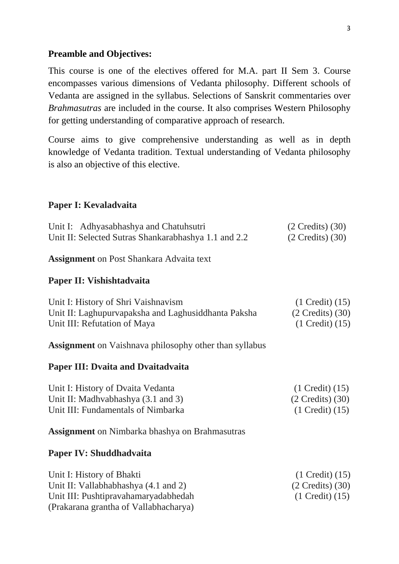### **Preamble and Objectives:**

This course is one of the electives offered for M.A. part II Sem 3. Course encompasses various dimensions of Vedanta philosophy. Different schools of Vedanta are assigned in the syllabus. Selections of Sanskrit commentaries over *Brahmasutras* are included in the course. It also comprises Western Philosophy for getting understanding of comparative approach of research.

Course aims to give comprehensive understanding as well as in depth knowledge of Vedanta tradition. Textual understanding of Vedanta philosophy is also an objective of this elective.

### **Paper I: Kevaladvaita**

| Unit I: Adhyasabhashya and Chatuhsutri               | $(2 \text{ Credits})$ $(30)$ |
|------------------------------------------------------|------------------------------|
| Unit II: Selected Sutras Shankarabhashya 1.1 and 2.2 | $(2 \text{ Credits})$ (30)   |

**Assignment** on Post Shankara Advaita text

#### **Paper II: Vishishtadvaita**

| Unit I: History of Shri Vaishnavism                 | $(1$ Credit $)(15)$    |
|-----------------------------------------------------|------------------------|
| Unit II: Laghupurvapaksha and Laghusiddhanta Paksha | $(2$ Credits) $(30)$   |
| Unit III: Refutation of Maya                        | $(1$ Credit $)$ $(15)$ |

**Assignment** on Vaishnava philosophy other than syllabus

#### **Paper III: Dvaita and Dvaitadvaita**

| Unit I: History of Dvaita Vedanta  | $(1$ Credit $)(15)$  |
|------------------------------------|----------------------|
| Unit II: Madhvabhashya (3.1 and 3) | $(2$ Credits) $(30)$ |
| Unit III: Fundamentals of Nimbarka | $(1$ Credit $)(15)$  |

**Assignment** on Nimbarka bhashya on Brahmasutras

#### **Paper IV: Shuddhadvaita**

| Unit I: History of Bhakti             | $(1$ Credit $)$ $(15)$ |
|---------------------------------------|------------------------|
| Unit II: Vallabhabhashya (4.1 and 2)  | $(2$ Credits) $(30)$   |
| Unit III: Pushtipravahamaryadabhedah  | $(1$ Credit $)(15)$    |
| (Prakarana grantha of Vallabhacharya) |                        |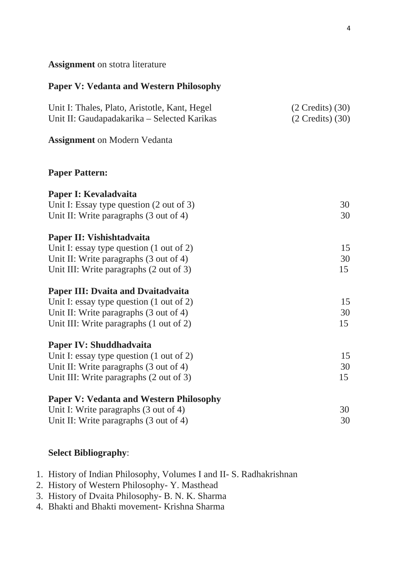## **Assignment** on stotra literature

## **Paper V: Vedanta and Western Philosophy**

| Unit I: Thales, Plato, Aristotle, Kant, Hegel<br>Unit II: Gaudapadakarika – Selected Karikas | $(2$ Credits $)$ $(30)$<br>$(2$ Credits $)$ $(30)$ |
|----------------------------------------------------------------------------------------------|----------------------------------------------------|
| <b>Assignment</b> on Modern Vedanta                                                          |                                                    |
| <b>Paper Pattern:</b>                                                                        |                                                    |
| Paper I: Kevaladvaita                                                                        |                                                    |
| Unit I: Essay type question $(2 \text{ out of } 3)$                                          | 30                                                 |
| Unit II: Write paragraphs $(3 \text{ out of } 4)$                                            | 30                                                 |
| Paper II: Vishishtadvaita                                                                    |                                                    |
| Unit I: essay type question $(1 \text{ out of } 2)$                                          | 15                                                 |
| Unit II: Write paragraphs (3 out of 4)                                                       | 30                                                 |
| Unit III: Write paragraphs (2 out of 3)                                                      | 15                                                 |
| <b>Paper III: Dvaita and Dvaitadvaita</b>                                                    |                                                    |
| Unit I: essay type question $(1 \text{ out of } 2)$                                          | 15                                                 |
| Unit II: Write paragraphs (3 out of 4)                                                       | 30                                                 |
| Unit III: Write paragraphs (1 out of 2)                                                      | 15                                                 |
| Paper IV: Shuddhadvaita                                                                      |                                                    |
| Unit I: essay type question $(1 \text{ out of } 2)$                                          | 15                                                 |
| Unit II: Write paragraphs (3 out of 4)                                                       | 30                                                 |
| Unit III: Write paragraphs (2 out of 3)                                                      | 15                                                 |
| <b>Paper V: Vedanta and Western Philosophy</b>                                               |                                                    |
| Unit I: Write paragraphs (3 out of 4)                                                        | 30                                                 |
| Unit II: Write paragraphs (3 out of 4)                                                       | 30                                                 |

## **Select Bibliography**:

- 1. History of Indian Philosophy, Volumes I and II- S. Radhakrishnan
- 2. History of Western Philosophy- Y. Masthead
- 3. History of Dvaita Philosophy- B. N. K. Sharma
- 4. Bhakti and Bhakti movement- Krishna Sharma